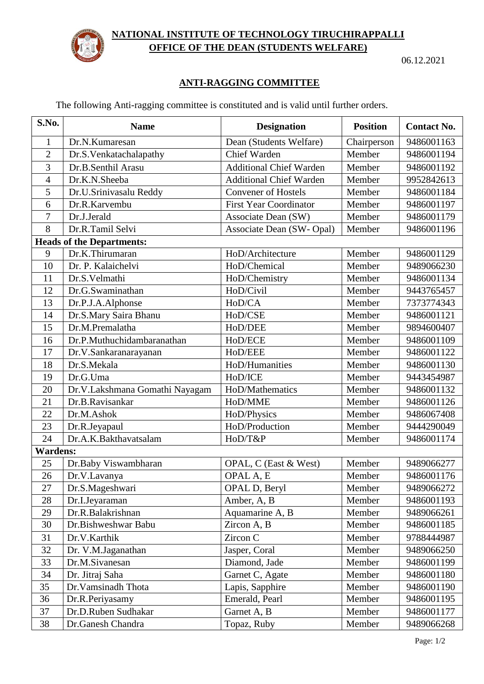

## **NATIONAL INSTITUTE OF TECHNOLOGY TIRUCHIRAPPALLI OFFICE OF THE DEAN (STUDENTS WELFARE)**

06.12.2021

## **ANTI-RAGGING COMMITTEE**

The following Anti-ragging committee is constituted and is valid until further orders.

| S.No.                            | <b>Name</b>                    | <b>Designation</b>             | <b>Position</b> | <b>Contact No.</b> |  |  |
|----------------------------------|--------------------------------|--------------------------------|-----------------|--------------------|--|--|
| 1                                | Dr.N.Kumaresan                 | Dean (Students Welfare)        | Chairperson     | 9486001163         |  |  |
| $\overline{2}$                   | Dr.S.Venkatachalapathy         | Chief Warden                   | Member          | 9486001194         |  |  |
| 3                                | Dr.B.Senthil Arasu             | <b>Additional Chief Warden</b> | Member          | 9486001192         |  |  |
| $\overline{4}$                   | Dr.K.N.Sheeba                  | <b>Additional Chief Warden</b> | Member          | 9952842613         |  |  |
| 5                                | Dr.U.Srinivasalu Reddy         | <b>Convener of Hostels</b>     | Member          | 9486001184         |  |  |
| 6                                | Dr.R.Karvembu                  | <b>First Year Coordinator</b>  | Member          | 9486001197         |  |  |
| 7                                | Dr.J.Jerald                    | Associate Dean (SW)            | Member          | 9486001179         |  |  |
| 8                                | Dr.R.Tamil Selvi               | Associate Dean (SW-Opal)       | Member          | 9486001196         |  |  |
| <b>Heads of the Departments:</b> |                                |                                |                 |                    |  |  |
| 9                                | Dr.K.Thirumaran                | HoD/Architecture               | Member          | 9486001129         |  |  |
| 10                               | Dr. P. Kalaichelvi             | HoD/Chemical                   | Member          | 9489066230         |  |  |
| 11                               | Dr.S.Velmathi                  | HoD/Chemistry                  | Member          | 9486001134         |  |  |
| 12                               | Dr.G.Swaminathan               | HoD/Civil                      | Member          | 9443765457         |  |  |
| 13                               | Dr.P.J.A.Alphonse              | HoD/CA                         | Member          | 7373774343         |  |  |
| 14                               | Dr.S.Mary Saira Bhanu          | HoD/CSE                        | Member          | 9486001121         |  |  |
| 15                               | Dr.M.Premalatha                | HoD/DEE                        | Member          | 9894600407         |  |  |
| 16                               | Dr.P.Muthuchidambaranathan     | HoD/ECE                        | Member          | 9486001109         |  |  |
| 17                               | Dr.V.Sankaranarayanan          | HoD/EEE                        | Member          | 9486001122         |  |  |
| 18                               | Dr.S.Mekala                    | HoD/Humanities                 | Member          | 9486001130         |  |  |
| 19                               | Dr.G.Uma                       | HoD/ICE                        | Member          | 9443454987         |  |  |
| 20                               | Dr.V.Lakshmana Gomathi Nayagam | HoD/Mathematics                | Member          | 9486001132         |  |  |
| 21                               | Dr.B.Ravisankar                | HoD/MME                        | Member          | 9486001126         |  |  |
| 22                               | Dr.M.Ashok                     | HoD/Physics                    | Member          | 9486067408         |  |  |
| 23                               | Dr.R.Jeyapaul                  | HoD/Production                 | Member          | 9444290049         |  |  |
| 24                               | Dr.A.K.Bakthavatsalam          | HoD/T&P                        | Member          | 9486001174         |  |  |
| <b>Wardens:</b>                  |                                |                                |                 |                    |  |  |
| 25                               | Dr.Baby Viswambharan           | OPAL, C (East & West)          | Member          | 9489066277         |  |  |
| 26                               | Dr.V.Lavanya                   | OPAL A, E                      | Member          | 9486001176         |  |  |
| 27                               | Dr.S.Mageshwari                | OPAL D, Beryl                  | Member          | 9489066272         |  |  |
| 28                               | Dr.I.Jeyaraman                 | Amber, A, B                    | Member          | 9486001193         |  |  |
| 29                               | Dr.R.Balakrishnan              | Aquamarine A, B                | Member          | 9489066261         |  |  |
| 30                               | Dr.Bishweshwar Babu            | Zircon A, B                    | Member          | 9486001185         |  |  |
| 31                               | Dr.V.Karthik                   | Zircon C                       | Member          | 9788444987         |  |  |
| 32                               | Dr. V.M.Jaganathan             | Jasper, Coral                  | Member          | 9489066250         |  |  |
| 33                               | Dr.M.Sivanesan                 | Diamond, Jade                  | Member          | 9486001199         |  |  |
| 34                               | Dr. Jitraj Saha                | Garnet C, Agate                | Member          | 9486001180         |  |  |
| 35                               | Dr.Vamsinadh Thota             | Lapis, Sapphire                | Member          | 9486001190         |  |  |
| 36                               | Dr.R.Periyasamy                | Emerald, Pearl                 | Member          | 9486001195         |  |  |
| 37                               | Dr.D.Ruben Sudhakar            | Garnet A, B                    | Member          | 9486001177         |  |  |
| 38                               | Dr.Ganesh Chandra              | Topaz, Ruby                    | Member          | 9489066268         |  |  |